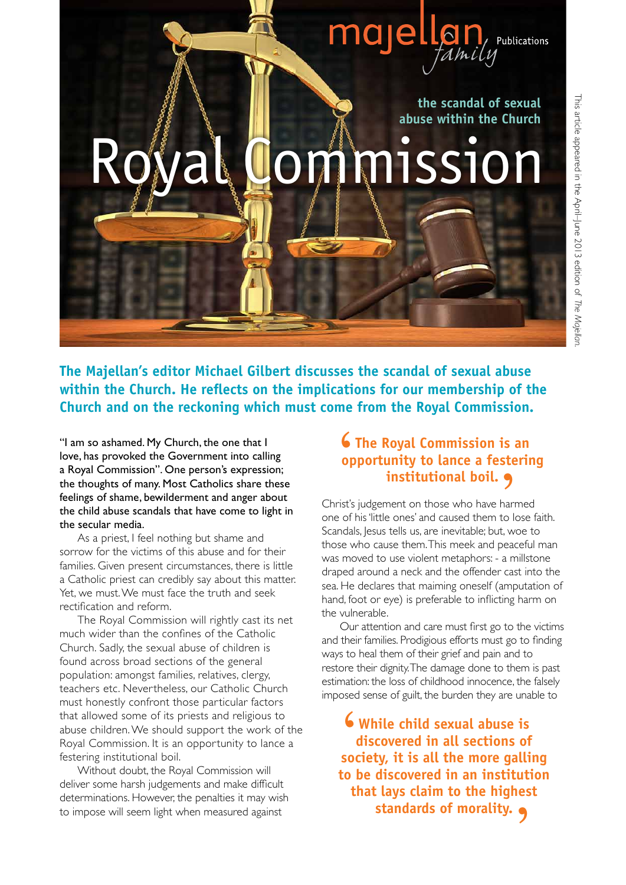

**the scandal of sexual abuse within the Church**

## **L**ommission

**The Majellan's editor Michael Gilbert discusses the scandal of sexual abuse within the Church. He reflects on the implications for our membership of the Church and on the reckoning which must come from the Royal Commission.**

"I am so ashamed. My Church, the one that I love, has provoked the Government into calling a Royal Commission". One person's expression; the thoughts of many. Most Catholics share these feelings of shame, bewilderment and anger about the child abuse scandals that have come to light in the secular media.

As a priest, I feel nothing but shame and sorrow for the victims of this abuse and for their families. Given present circumstances, there is little a Catholic priest can credibly say about this matter. Yet, we must. We must face the truth and seek rectification and reform.

The Royal Commission will rightly cast its net much wider than the confines of the Catholic Church. Sadly, the sexual abuse of children is found across broad sections of the general population: amongst families, relatives, clergy, teachers etc. Nevertheless, our Catholic Church must honestly confront those particular factors that allowed some of its priests and religious to abuse children. We should support the work of the Royal Commission. It is an opportunity to lance a festering institutional boil.

Without doubt, the Royal Commission will deliver some harsh judgements and make difficult determinations. However, the penalties it may wish to impose will seem light when measured against

## **The Royal Commission is an opportunity to lance a festering**   $\frac{6}{\log 10}$ **institutional boil.**'

Christ's judgement on those who have harmed one of his 'little ones' and caused them to lose faith. Scandals, Jesus tells us, are inevitable; but, woe to those who cause them. This meek and peaceful man was moved to use violent metaphors: - a millstone draped around a neck and the offender cast into the sea. He declares that maiming oneself (amputation of hand, foot or eye) is preferable to inflicting harm on the vulnerable.

Our attention and care must first go to the victims and their families. Prodigious efforts must go to finding ways to heal them of their grief and pain and to restore their dignity. The damage done to them is past estimation: the loss of childhood innocence, the falsely imposed sense of guilt, the burden they are unable to

**While child sexual abuse is discovered in all sections of S** While child sexual abuse is<br>discovered in all sections of<br>society, it is all the more galling **to be discovered in an institution that lays claim to the highest standards of morality.** '